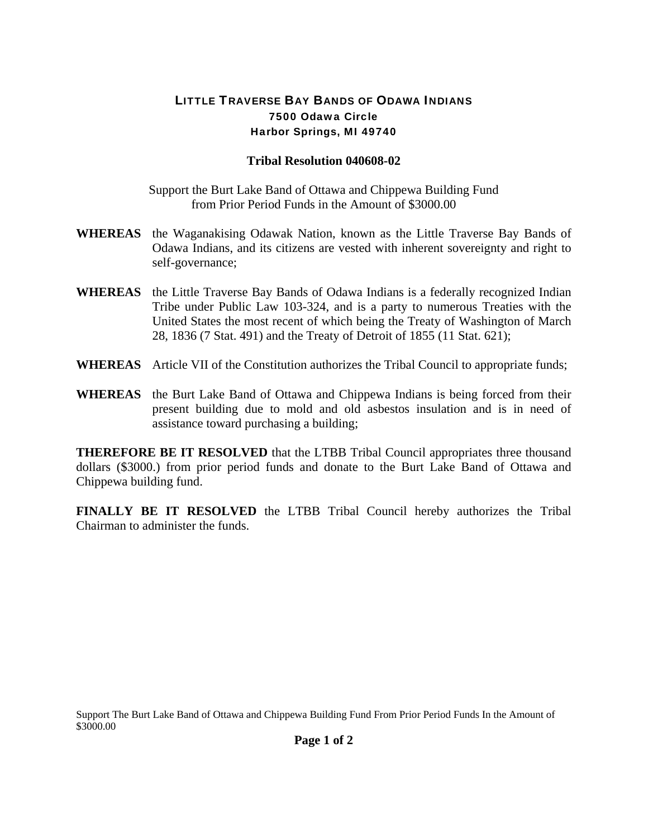## LITTLE TRAVERSE BAY BANDS OF ODAWA INDIANS 7500 Odawa Circle Harbor Springs, MI 49740

## **Tribal Resolution 040608-02**

Support the Burt Lake Band of Ottawa and Chippewa Building Fund from Prior Period Funds in the Amount of \$3000.00

- **WHEREAS** the Waganakising Odawak Nation, known as the Little Traverse Bay Bands of Odawa Indians, and its citizens are vested with inherent sovereignty and right to self-governance;
- **WHEREAS** the Little Traverse Bay Bands of Odawa Indians is a federally recognized Indian Tribe under Public Law 103-324, and is a party to numerous Treaties with the United States the most recent of which being the Treaty of Washington of March 28, 1836 (7 Stat. 491) and the Treaty of Detroit of 1855 (11 Stat. 621);
- **WHEREAS** Article VII of the Constitution authorizes the Tribal Council to appropriate funds;
- **WHEREAS** the Burt Lake Band of Ottawa and Chippewa Indians is being forced from their present building due to mold and old asbestos insulation and is in need of assistance toward purchasing a building;

**THEREFORE BE IT RESOLVED** that the LTBB Tribal Council appropriates three thousand dollars (\$3000.) from prior period funds and donate to the Burt Lake Band of Ottawa and Chippewa building fund.

**FINALLY BE IT RESOLVED** the LTBB Tribal Council hereby authorizes the Tribal Chairman to administer the funds.

Support The Burt Lake Band of Ottawa and Chippewa Building Fund From Prior Period Funds In the Amount of \$3000.00